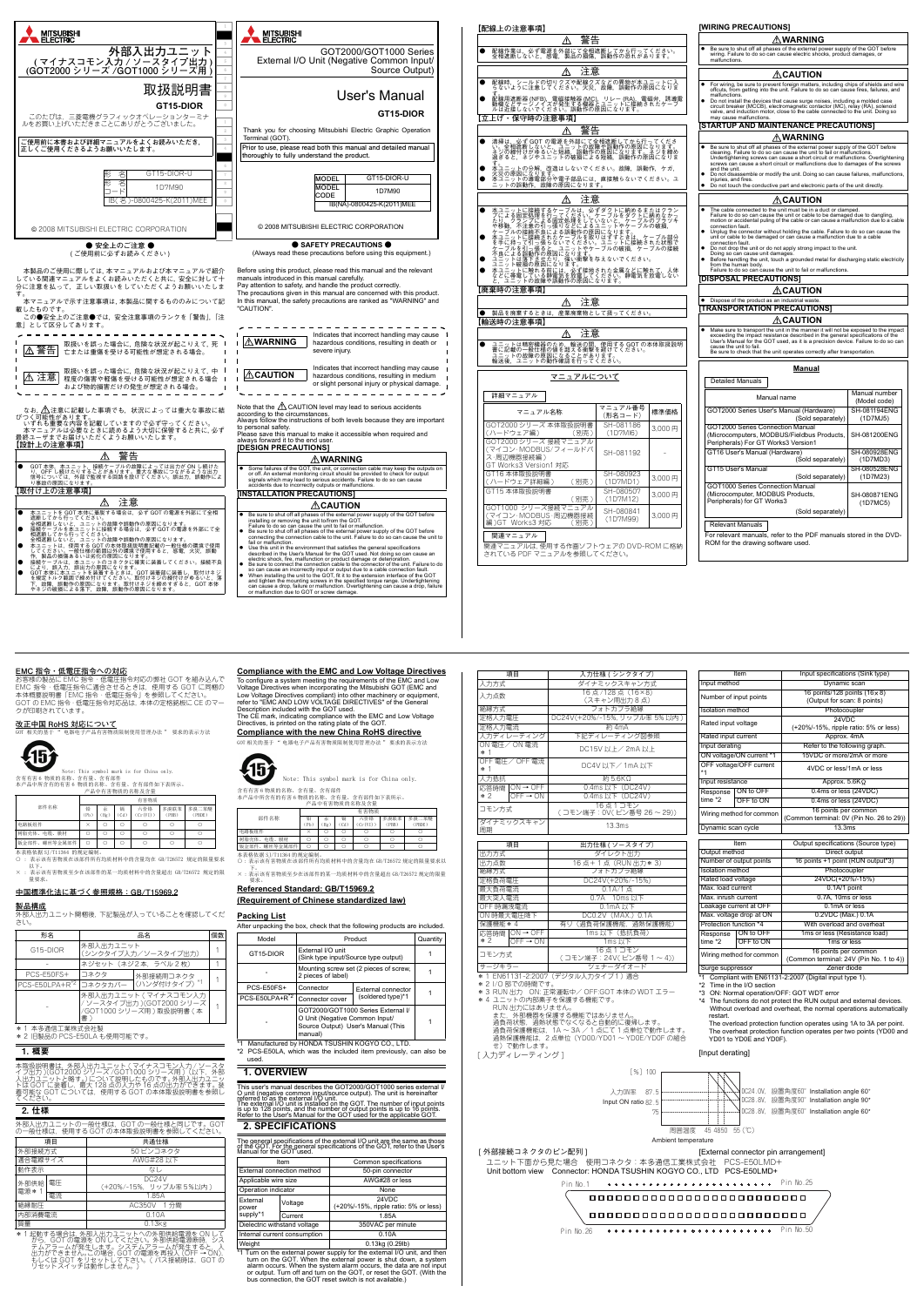

**改正中国 RoHS 対応について** ·<br>品有害物质限制使用管理办法 " 要求的表示方法



本表格依据 SJ/T11364 的规定编制 ○ : 表示该有害物质在该部件所有均质材料中的含量均在 GB/T26572 规定的限量要求

<del>-------------</del><br>外部入出力ユニット開梱後, 下記製品が入っていることを確認してくだ さい。

**Compliance with the EMC and Low Voltage Directives** To configure a system meeting the requirements of the EMC and Low<br>Voltage Directives when incorporating the Mitsubishi GOT (EMC and<br>Low Voltage Directives compliant) into other machinery or equipment,

部件名称 铅 (Pb) 汞 (Hg) 镉 (Cd) 六价铬 (Cr(VI)) 多溴联苯 (PBB) 多溴二苯醚 (PBDE) 电路板组件 × │ ○ │ ○ │ ○ │ ○ │ ○ 树脂売体、电缆、膜材 ┃ ○ ┃ ○ ┃ ○ ┃ ○ ┃ ○ ┃ ○ ┃

本表格依据 SJ/T11364 的规定编制。<br>〇:表示该有害物质在该部件所有均质材料中的含量均在 GB/T26572 规定的限量要求以 钣金部件、螺丝等金属部件┃ ○ ┃ ○ ┃ ○ ┃ ○ ┃ ○ ┃ ○ ┃ ○

| 【配線上の注意事項】                                                                                                                                                                                                                                             |                       |        | [WIRING PRECAUTIONS]                                                                                                                                                                                                                                                                                                                                                                                                                                                                                                                                                                                                                                              |          |
|--------------------------------------------------------------------------------------------------------------------------------------------------------------------------------------------------------------------------------------------------------|-----------------------|--------|-------------------------------------------------------------------------------------------------------------------------------------------------------------------------------------------------------------------------------------------------------------------------------------------------------------------------------------------------------------------------------------------------------------------------------------------------------------------------------------------------------------------------------------------------------------------------------------------------------------------------------------------------------------------|----------|
| 警告<br>∕∖∖                                                                                                                                                                                                                                              |                       |        | WARNING                                                                                                                                                                                                                                                                                                                                                                                                                                                                                                                                                                                                                                                           |          |
| 配線作業は,必ず電源を外部にて全相遮断してから行ってください。<br>全相遮断しないと,感電,製品の損傷,誤動作の恐れがあります。<br>e                                                                                                                                                                                 |                       |        | Be sure to shut off all phases of the external power supply of the GOT before wiring. Failure to do so can cause electric shocks, product damages, or<br>malfunctions                                                                                                                                                                                                                                                                                                                                                                                                                                                                                             |          |
| ∕!\<br>汪蒠                                                                                                                                                                                                                                              |                       |        | $\triangle$ CAUTION                                                                                                                                                                                                                                                                                                                                                                                                                                                                                                                                                                                                                                               |          |
| 配線時,シールドの切りクズや配線クズなどの異物が本ユニットに入<br>らないように注意してください。火災,故障,誤動作の原因になりま<br>e                                                                                                                                                                                |                       |        | For wiring, be sure to prevent foreign matters, including chips of shields and wire<br>offcuts, from getting into the unit. Failure to do so can cause fires, failures, and                                                                                                                                                                                                                                                                                                                                                                                                                                                                                       |          |
| す。<br>配線用遮断器 (NFB),電磁接触器 (MC),リレー (RA),電磁弁,誘導電<br>動機などサージノイズが発生する機器とユニットに接続されたケーブ<br>ルは近接しないでください。誤動作の原因になります。<br>【立上げ・保守時の注意事項】                                                                                                                       |                       |        | malfunctions<br>Do not install the devices that cause surge noises, including a molded case<br>circuit breaker (MCCB), electromagnetic contactor (MC), relay (RA), solenoid<br>valve, and induction motor, close to the cable connected to the unit.<br>may cause malfunctions.                                                                                                                                                                                                                                                                                                                                                                                   |          |
| 警告                                                                                                                                                                                                                                                     |                       |        | STARTUP AND MAINTENANCE PRECAUTIONS]                                                                                                                                                                                                                                                                                                                                                                                                                                                                                                                                                                                                                              |          |
| e                                                                                                                                                                                                                                                      |                       |        | ∧WARNING                                                                                                                                                                                                                                                                                                                                                                                                                                                                                                                                                                                                                                                          |          |
| 清掃は,必ず GOT の電源を外部にて全相遮断してから行ってくださ<br>い。全相遮断しないと,ユニットの故障や誤動作の原因になります。<br>ネジの縮付けがゆるいと短絡,誤動作の原因になります。ネジを締め<br>過ぎると,ネジやユニットの破損による短絡,誤動作の原因になりま<br>予ユニットの分解,改造はしないでください。故障,誤動作,ケガ,<br>火災の原因になります。<br>本ユニットの薄電部分や電子部品には,直接触らないでください。ユ<br>ニットの誤動作,故障の原因になります。 |                       |        | $\bullet$<br>Be sure to shut off all phases of the external power supply of the GOT before<br>cleaning. Failure to do so can cause the unit to fail or malfunctions<br>Undertightening screws can cause a short circuit or malfunctions. Overtightening<br>screws can cause a short circuit or malfunctions due to damages of the screws<br>and the unit.<br>Do not disassemble or modify the unit. Doing so can cause failures, malfunctions,<br>injuries, and fires.<br>Do not touch the conductive part and electronic parts of the unit directly.                                                                                                             |          |
|                                                                                                                                                                                                                                                        |                       |        |                                                                                                                                                                                                                                                                                                                                                                                                                                                                                                                                                                                                                                                                   |          |
| ∧<br>注意                                                                                                                                                                                                                                                |                       |        | $\triangle$ CAUTION<br>The cable connected to the unit must be in a duct or clamped.                                                                                                                                                                                                                                                                                                                                                                                                                                                                                                                                                                              |          |
| 本ユニットに接続するケーブルは、必ずダクトに納めるまたはクラブによる同定処理を行ってください。ケーブルの破損、不全には、クランプによる固定処理をしていたときダクトに納めなからアプリルの設計のアプリルの被続不良による認動作の原因になります。<br>ケップルの接続不良による認動作の原因になってリーブルの破損、部分のブラブルの被補不良による認動作の原因になります。<br>ケップルの接続をれたケーブルを取り込んでしまう。サーブルの破損、なっているほどによる                     |                       |        | Failure to do so can cause the unit or cable to be damaged due to dangling,<br>motion or accidental puling of the cable or can cause a malfunction due to a cable<br>connection fault.<br>Unplug the connector without holding the cable. Failure to do so can cause the<br>unit or cable to be damaged or can cause a malfunction due to a cable<br>connection fault.<br>Do not drop the unit or do not apply strong impact to the unit.<br>٠<br>Doing so can cause unit damages.<br>Before handling the unit, touch a grounded metal for discharging static electricity<br>from the human body.<br>Failure to do so can cause the unit to fail or malfunctions. |          |
|                                                                                                                                                                                                                                                        |                       |        | [DISPOSAL PRECAUTIONS]                                                                                                                                                                                                                                                                                                                                                                                                                                                                                                                                                                                                                                            |          |
| 【廃棄時の注意事項】                                                                                                                                                                                                                                             |                       |        | ∆CAUTION                                                                                                                                                                                                                                                                                                                                                                                                                                                                                                                                                                                                                                                          |          |
| ⚠<br>注意                                                                                                                                                                                                                                                |                       |        | • Dispose of the product as an industrial waste<br>TRANSPORTATION PRECAUTIONS]                                                                                                                                                                                                                                                                                                                                                                                                                                                                                                                                                                                    |          |
| 製品を廃棄するときは、                                                                                                                                                                                                                                            | 産業廃棄物として扱ってください。      |        | ∕∆CAUTION                                                                                                                                                                                                                                                                                                                                                                                                                                                                                                                                                                                                                                                         |          |
| 【輸送時の注意事項】                                                                                                                                                                                                                                             |                       |        | Make sure to transport the unit in the manner it will not be exposed to the impact                                                                                                                                                                                                                                                                                                                                                                                                                                                                                                                                                                                |          |
| ⚠<br>注意<br>ユニットは精密機器のため,輸送の間,使用する GOT の本体取扱説明<br>「書」が、『出版場』の他を超える衝撃を避けてください。<br>書に記載の一般仕様の値を超える衝撃を避けてください。<br>ユニットの故障の原因になることがあります。<br>輸送後,ユニットの動作確認を行ってください。                                                                                          |                       |        | exceeding the impact resistance described in the general specifications of the<br>User's Manual for the GOT used, as it is a precision device. Failure to do so can<br>cause the unit to fail.<br>Be sure to check that the unit operates correctly after transportation.                                                                                                                                                                                                                                                                                                                                                                                         |          |
|                                                                                                                                                                                                                                                        |                       |        | Manual                                                                                                                                                                                                                                                                                                                                                                                                                                                                                                                                                                                                                                                            |          |
| マニュアルについて                                                                                                                                                                                                                                              |                       |        | <b>Detailed Manuals</b>                                                                                                                                                                                                                                                                                                                                                                                                                                                                                                                                                                                                                                           |          |
| 詳細マニュアル                                                                                                                                                                                                                                                |                       |        | Manual number<br>Manual name<br>(Model code)                                                                                                                                                                                                                                                                                                                                                                                                                                                                                                                                                                                                                      |          |
| マニュアル名称                                                                                                                                                                                                                                                | マニュアル番号<br>(形名コード)    | 標準価格   | GOT2000 Series User's Manual (Hardware)<br>SH-081194ENG<br>(Sold separately)                                                                                                                                                                                                                                                                                                                                                                                                                                                                                                                                                                                      | (1D7MJ5) |
| GOT2000 シリーズ 本体取扱説明書<br>(ハードウェア編)<br>(別売)<br>GOT2000 シリーズ 接続マニュアル                                                                                                                                                                                      | SH-081186<br>(1D7M16) | 3.000円 | GOT2000 Series Connection Manual<br>(Microcomputers, MODBUS/Fieldbus Products,<br>SH-081200ENG<br>Peripherals) For GT Works3 Version1                                                                                                                                                                                                                                                                                                                                                                                                                                                                                                                             |          |
| (マイコン·MODBUS/フィールドバ<br>ス・周辺機器接続編)                                                                                                                                                                                                                      | SH-081192             |        | GT16 User's Manual (Hardware)<br>SH-080928ENG<br>(Sold separately)                                                                                                                                                                                                                                                                                                                                                                                                                                                                                                                                                                                                | (1D7MD3) |
| GT Works3 Version1 対応<br>GT16 本体取扱説明書<br>(ハードウェア詳細編)<br>(別売)                                                                                                                                                                                           | SH-080923<br>(1D7MD1) | 3,000円 | GT15 User's Manual<br>SH-080528ENG<br>(Sold separately)                                                                                                                                                                                                                                                                                                                                                                                                                                                                                                                                                                                                           | (1D7M23) |
| GT15 本体取扱説明書<br>(別売)                                                                                                                                                                                                                                   | SH-080507<br>(1D7M12) | 3.000円 | GOT1000 Series Connection Manual<br>(Microcomputer, MODBUS Products,<br>SH-080871ENG<br>Peripherals) for GT Works3                                                                                                                                                                                                                                                                                                                                                                                                                                                                                                                                                | (1D7MC5) |
| GOT1000 シリーズ接続マニュアル<br>(マイコン·MODBUS·周辺機器接続<br>編) GT Works3 対応<br>(別売)                                                                                                                                                                                  | SH-080841<br>(1D7M99) | 3.000円 | (Sold separately)<br><b>Relevant Manuals</b>                                                                                                                                                                                                                                                                                                                                                                                                                                                                                                                                                                                                                      |          |
| 関連マニュアル<br>関連マニュアルは. 使用する作画ソフトウェアの DVD-ROM に格納<br>されている PDF マニュアルを参照してください。                                                                                                                                                                            |                       |        | For relevant manuals, refer to the PDF manuals stored in the DVD-<br>ROM for the drawing software used.                                                                                                                                                                                                                                                                                                                                                                                                                                                                                                                                                           |          |

また,外部機器を保護する機能ではありません。<br>過負荷状態,過熱状態でなくなると自動的に復帰します。<br>過熱保護機能は,2 点単位(YD00/YD01 ~ YD0E/YD0F の組合<br>過熱保護機能は,2 点単位(YD00/YD01 ~ YD0E/YD0F の組合 せ)で動作します。

[入力ディレーティング]

Compliant with EN61131-2:2007 (Digital input type 1). Time in the  $I/O$  section Surge suppressor Zener diode

Wiring method for common 16 points per common 16 points per common

# **EMC 指令・低電圧指令への対応**

お客様の製品に EMC 指令・低電圧指令対応の弊社 GOT を組み込んで EMC 指令・低電圧指令に適合させるときは,使用する GOT に同梱の 本体概要説明書「EMC 指令・低電圧指令」を参照してください。 GOT の EMC 指令・低電圧指令対応品は,本体の定格銘板に CE のマー クが印刷されています。

Note: This symbol mark is for China only. 含有有害 6 物质的名称、含有量、含有部件 本产品中所含有的有害 6 物质的名称、含有量、含有部件如下表所示。 产品中有害物质的名称及含量

以下。 × : 表示该有害物质至少在该部件的某一均质材料中的含量超出 GB/T26572 规定的限 量要求。

# **中国標準化法に基づく参照規格:GB/T15969.2**

**製品構成**

\* 1 本多通信工業株式会社製 \* 2 旧製品の PCS-E50LA も使用可能です。

# 1. 概要

本取扱説明書は,外部入出力ユニット ( マイナスコモン入力 / ソースタ イプ出力 )(GOT2000 シリーズ /GOT1000 シリーズ用 )(以下,外部 入出力ユニットと略す。)について説明したものです。外部入出力ユニッ トは GOT に装着し,最大 128 点の入力や 16 点の出力ができます。装 着可能な GOT については,使用する GOT の本体取扱説明書を参照し てください。

# 2. 仕様

外部人出力ユニットの一般仕様は,GOT の一般仕様と同じです。GOT<br>の一般仕様は,使用する GOT の本体取扱説明書を参照してください。

部件名称 有害物质 铅 (Pb) 汞  $(Hg)$ 镉 (Cd) 六价铬  $(Cr(VI))$ 多溴联苯 (PBB) 多溴二苯醚 (PBDE) 电路板组件 × ○ ○ ○ ○ ○ **树脂売体、电缆、膜材 ○ ○ ○ ○ ○ ○ ○ ○ ○ ○** ○ 钣金部件、螺丝等金属部件 ○ ○ ○ ○ ○ ○

| $\sim$ 1.10                |                                  |                                                                             |  |  |  |
|----------------------------|----------------------------------|-----------------------------------------------------------------------------|--|--|--|
| 形名                         |                                  | 品名                                                                          |  |  |  |
| G15-DIOR                   | 外部入出力ユニット<br>(シンクタイプ入力/ソースタイプ出力) |                                                                             |  |  |  |
|                            |                                  | ネジセット (ネジ2本、ラベル2枚)                                                          |  |  |  |
| PCS-E50FS+                 | コネクタ                             | 外部接続用コネクタ                                                                   |  |  |  |
| PCS-E50LPA+R <sup>*2</sup> |                                  | コネクタカバー (ハンダ付けタイプ) *1                                                       |  |  |  |
|                            | 書)                               | 外部入出力ユニット(マイナスコモン入力<br>/ ソースタイプ出力 )(GOT2000 シリーズ<br>/GOT1000 シリーズ用)取扱説明書 (本 |  |  |  |

| 項目             |    | 共通仕様                                                                                |  |
|----------------|----|-------------------------------------------------------------------------------------|--|
| 外部接続方式         |    | 50 ピンコネクタ                                                                           |  |
| 滴合電線サイズ        |    | AWG#28 以下                                                                           |  |
| 動作表示           |    | なし                                                                                  |  |
| 外部供給<br>電源 * 1 | 電圧 | DC <sub>24</sub> V<br>(+20%/-15%. リップル率5%以内)                                        |  |
|                | 電流 | 1.85A                                                                               |  |
| 絶縁耐圧           |    | AC350V 1分間                                                                          |  |
| 内部消費電流         |    | 0.10A                                                                               |  |
| 質量             |    | $0.13$ <sub>kg</sub>                                                                |  |
|                |    | … 1 キラモキ=ナ ア キB △ /ユ ー ゟ  ヤロ フ :!! + っ ー … ! _ ^ △ ゟ  ヤロ /#:«△***)/SF- - △N !   - ? |  |

\* 1 起動する場合は, 外部し分ユニットへの外部供給電源を ON して<br>- から、GOT の電源を ONしてください。外部供給電源断時、シス<br>テムアラームが発生します。システムアラームが発生すると, 入<br>出力ができません。この場合, GOT の電源を再投入 (OFF → ON),<br>もしくは GOT をリセットスイッチは動作しません。)

refer to "EMC AND LOW VOLTAGE DIRECTIVES" of the General Description included with the GOT used. The CE mark, indicating compliance with the EMC and Low Voltage Directives, is printed on the rating plate of the GOT.

**Compliance with the new China RoHS directive**

GOT 相关的基于 " 电器电子产品有害物质限制使用管理办法 " 要求的表示方法

下。 × : 表示该有害物质至少在该部件的某一均质材料中的含量超出 GB/T26572 规定的限量 要求。

| Referenced Standard: GB/T15969.2          |  |
|-------------------------------------------|--|
| (Requirement of Chinese standardized law) |  |

# **Packing List**

\*2 PCS-E50LA, which was the included item previously, can also be

### used.

### **1. OVERVIEW**

This user's manual describes the GOT2000/GOT1000 series external *I*<br>O unit (negative common input/source output). The unit is hereinafter<br>referred to as the external I/O unit.<br>The external I/O unit is installed on the GOT

含有有害 6 物质的名称、含有量、含有部件 本产品中所含有的有害 6 物质的名称、含有量、含有部件如下表所示。 产品中有害物质的名称及含量 有害物质

### **2. SPECIFICATIONS**

The general specifications of the external I/O unit are the same as those of the GOT. For the general specifications of the GOT, refer to the User's Manual for the GOT used.

| After unpacking the box, check that the following products are included. |                                                              |         |          |  |
|--------------------------------------------------------------------------|--------------------------------------------------------------|---------|----------|--|
| Model                                                                    |                                                              | Product | Quantity |  |
| GT15-DIOR                                                                | External I/O unit<br>(Sink type input/Source type output)    |         |          |  |
|                                                                          | Mounting screw set (2 pieces of screw,<br>2 pieces of label) |         |          |  |
|                                                                          |                                                              |         |          |  |



| PCS-E50FS+<br>Connector                    |                                                                                 | <b>External connector</b>          |  |  |
|--------------------------------------------|---------------------------------------------------------------------------------|------------------------------------|--|--|
| PCS-E50LPA+R <sup>*2</sup> Connector cover |                                                                                 | (soldered type)*1                  |  |  |
|                                            | O Unit (Negative Common Input/<br>Source Output) User's Manual (This<br>manual) | GOT2000/GOT1000 Series External I/ |  |  |

Manufactured by HONDA TSUSHIN KOGYO CO., LTD.

| Item                         |         | Common specifications                          |  |
|------------------------------|---------|------------------------------------------------|--|
| External connection method   |         | 50-pin connector                               |  |
| Applicable wire size         |         | AWG#28 or less                                 |  |
| Operation indicator          |         | None                                           |  |
| External<br>power            | Voltage | 24VDC<br>(+20%/-15%, ripple ratio: 5% or less) |  |
| supply*1                     | Current | 1.85A                                          |  |
| Dielectric withstand voltage |         | 350VAC per minute                              |  |
| Internal current consumption |         | 0.10A                                          |  |
| Weight                       |         | $0.13$ kg $(0.29$ lb)                          |  |

<sup>\*</sup>1 Turn on the external power supply for the external *l/O* unit, and then turn on the GOT. When the external power is shut down, a system alarm occurs. When the system alarm occurs, the data are not input or output. Tur

\*3 RUN 出力 ON: 正常運転中/ OFF:GOT 本体の WDT エラー<br>\*4 ユニットの内部素子を保護する機能です。<br>- RUN 出力にはありません。

\* 1 EN61131-2:2007(デジタル入力タイプ1) 適合

\* 2 I/O 部での時間です。

サージキラ

| 項目                           | 入力仕様 (シンクタイプ)                      |
|------------------------------|------------------------------------|
| 入力方式                         | ダイナミックスキャン方式                       |
| 入力点数                         | 16点/128点 (16×8)<br>(スキャン用出力8点)     |
| 絶縁方式                         | フォトカプラ絶縁                           |
| 定格入力電圧                       | DC24V(+20%/-15%, リップル率 5%以内)       |
| 定格入力電流                       | 約 4mA                              |
| 入力ディレーティング                   | 下記ディレーティング図参照                      |
| ON 電圧/ON 電流<br>$*1$          | DC15V 以上/2mA 以上                    |
| OFF 電圧/OFF 電流<br>$*1$        | DC4V 以下/1mA 以下                     |
| 入力抵抗                         | 約 5.6KΩ                            |
| 応答時間 ON → OFF                | 0.4ms 以下 (DC24V)                   |
| $OFF \rightarrow ON$<br>$*2$ | 0.4ms 以下 (DC24V)                   |
| コモン方式                        | 16点1コモン<br>(コモン端子: 0V(ピン番号 26~29)) |
| ダイナミックスキャン<br>周期             | 13.3ms                             |
|                              |                                    |
| 項目<br>出力方式                   | 出力仕様 (ソースタイプ)<br>ダイレクト出力           |
|                              | 16点+1点 (RUN出力*3)                   |
| 出力点数<br>絶縁方式                 | フォトカプラ絶縁                           |
| 定格負荷電圧                       | DC24V(+20%/-15%)                   |
| 最大負荷電流                       | 0.1A/1点                            |
| 最大突入電流                       | 0.7A 10ms以下                        |
| OFF 時漏洩電流                    | $0.1$ m $A$ $N$ $F$                |
| ON 時最大電圧降下                   | DC0.2V (MAX.) 0.1A                 |
| 保護機能 * 4                     | 有り (過負荷保護機能, 過熱保護機能)               |
| 応答時間 ON→OFF                  | 1ms 以下 (抵抗負荷)                      |
| $OFF \rightarrow ON$<br>$*2$ | 1ms 以下                             |
| コモン方式                        | 16点1コモン<br>(コモン端子: 24V(ピン番号 1~4))  |

put method Dynamic scan umber of input points  $\frac{16 \text{ points}/128 \text{ points} (16 \times 8)}{16 \text{ units}}$ (Output for scan: 8 points) **Photocoupler** ated input voltage 24VDC (+20%/-15%, ripple ratio: 5% or less) ated input current Approx. 4mA Input derating Refer to the following graph ON voltage/ON current \*1 15VDC or more/2mA or more OFF voltage/OFF current 4VDC or less/1mA or less  $\frac{1}{2}$  Approx. 5.6K $\Omega$ Response ON to OF ime \*2 0.4ms or less (24VDC) OFF to ON 0.4ms or less (24VDC) Wiring method for common 16 points per common (Common terminal: 0V (Pin No. 26 to 29)) Dynamic scan cycle 13.3ms Item Output specifications (Source type) Output method Direct output<br>Number of output points 16 points +1 point (RUI 16 points +1 point  $(RUN$  output\*3) solation method **Photocoupler** Rated load voltage 24VDC(+20%/-15%) Aax. load current 0.1A/1 point Max. inrush current  $\overline{0.7}$ A, 10ms or les Leakage current at OFF 0.1mA or less Max. voltage drop at ON 0.2VDC (Max.) 0.1A Protection function \*4 With overload and overhea Response ON to OFI ime \*2 1ms or less (Resistance load) OFF to ON 1ms or less

Input specifications (Sink type)

- \*3 ON: Normal operation/OFF: GOT WDT error
- \*4 The functions do not protect the RUN output and external devices. Without overload and overheat, the normal operations automatically restart.

The overload protection function operates using 1A to 3A per point. The overheat protection function operates per two points (YD00 and YD01 to YD0E and YD0F).



(Common terminal: 24V (Pin No. 1 to 4))



「外部接続コネクタのピン配列1

# [ External connector pin arrangement]

ユニット下面から見た場合 使用コネクタ:本多通信工業株式会社 PCS-E50LMD+<br>Unit bottom view Connector: HONDA TSUSHIN KOGYO CO. LTD PCS-E50LMD+ Connector: HONDA TSUSHIN KOGYO CO., LTD PCS-E50LMD+